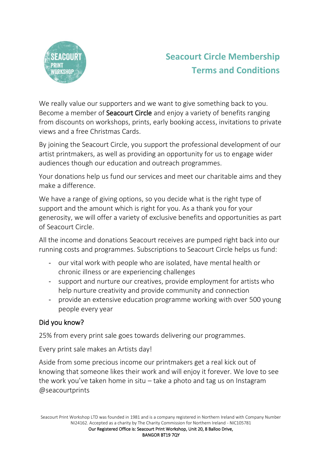

# **Seacourt Circle Membership Terms and Conditions**

We really value our supporters and we want to give something back to you. Become a member of **Seacourt Circle** and enjoy a variety of benefits ranging from discounts on workshops, prints, early booking access, invitations to private views and a free Christmas Cards.

By joining the Seacourt Circle, you support the professional development of our artist printmakers, as well as providing an opportunity for us to engage wider audiences though our education and outreach programmes.

Your donations help us fund our services and meet our charitable aims and they make a difference.

We have a range of giving options, so you decide what is the right type of support and the amount which is right for you. As a thank you for your generosity, we will offer a variety of exclusive benefits and opportunities as part of Seacourt Circle.

All the income and donations Seacourt receives are pumped right back into our running costs and programmes. Subscriptions to Seacourt Circle helps us fund:

- our vital work with people who are isolated, have mental health or chronic illness or are experiencing challenges
- support and nurture our creatives, provide employment for artists who help nurture creativity and provide community and connection
- provide an extensive education programme working with over 500 young people every year

# Did you know?

25% from every print sale goes towards delivering our programmes.

Every print sale makes an Artists day!

Aside from some precious income our printmakers get a real kick out of knowing that someone likes their work and will enjoy it forever. We love to see the work you've taken home in situ – take a photo and tag us on Instagram @seacourtprints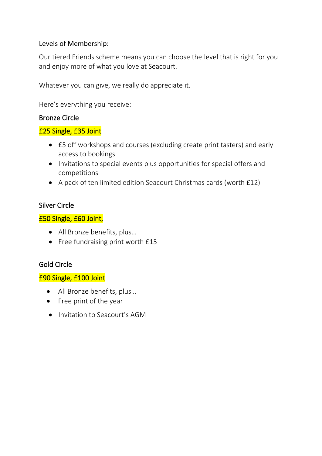# Levels of Membership:

Our tiered Friends scheme means you can choose the level that is right for you and enjoy more of what you love at Seacourt.

Whatever you can give, we really do appreciate it.

Here's everything you receive:

# Bronze Circle

# £25 Single, £35 Joint

- £5 off workshops and courses (excluding create print tasters) and early access to bookings
- Invitations to special events plus opportunities for special offers and competitions
- A pack of ten limited edition Seacourt Christmas cards (worth £12)

# Silver Circle

# £50 Single, £60 Joint,

- All Bronze benefits, plus…
- Free fundraising print worth £15

## Gold Circle

# £90 Single, £100 Joint

- All Bronze benefits, plus…
- Free print of the year
- Invitation to Seacourt's AGM